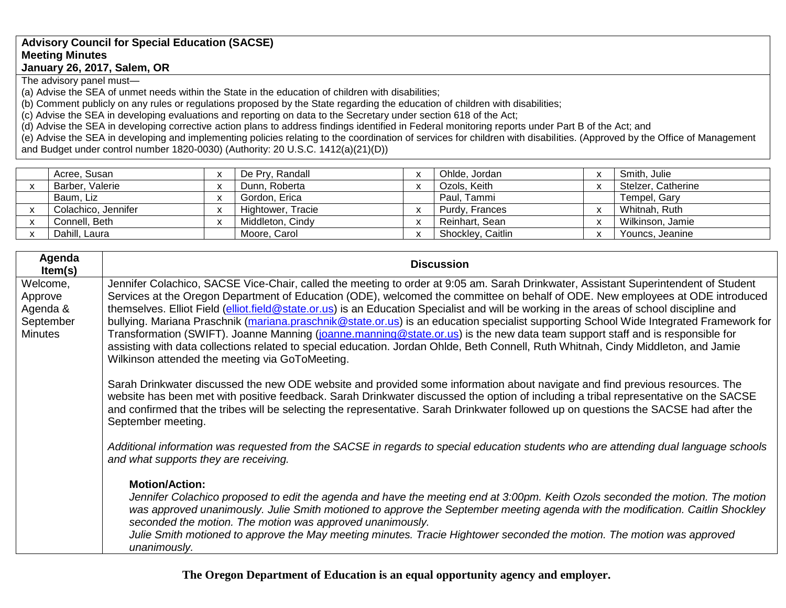## **Advisory Council for Special Education (SACSE) Meeting Minutes January 26, 2017, Salem, OR**

The advisory panel must—

(a) Advise the SEA of unmet needs within the State in the education of children with disabilities;

(b) Comment publicly on any rules or regulations proposed by the State regarding the education of children with disabilities;

(c) Advise the SEA in developing evaluations and reporting on data to the Secretary under section 618 of the Act;

(d) Advise the SEA in developing corrective action plans to address findings identified in Federal monitoring reports under Part B of the Act; and

(e) Advise the SEA in developing and implementing policies relating to the coordination of services for children with disabilities. (Approved by the Office of Management and Budget under control number 1820-0030) (Authority: 20 U.S.C. 1412(a)(21)(D))

| Acree, Susan        | $\overline{\phantom{a}}$ | De Pry, Randall   |              | Ohlde, Jordan     | Smith, Julie       |
|---------------------|--------------------------|-------------------|--------------|-------------------|--------------------|
| Barber, Valerie     | $\overline{\mathbf{v}}$  | Dunn, Roberta     |              | Ozols, Keith      | Stelzer, Catherine |
| Baum, Liz           | $\overline{\phantom{a}}$ | Gordon, Erica     |              | Paul, Tammi       | Tempel, Gary       |
| Colachico, Jennifer | $\overline{\phantom{a}}$ | Hightower, Tracie |              | Purdy, Frances    | Whitnah, Ruth      |
| Connell, Beth       | $\overline{ }$           | Middleton, Cindy  |              | Reinhart, Sean    | Wilkinson, Jamie   |
| Dahill, Laura       |                          | Moore, Carol      | $\mathbf{v}$ | Shockley, Caitlin | Youncs, Jeanine    |

| Agenda<br>Item(s)                                              | <b>Discussion</b>                                                                                                                                                                                                                                                                                                                                                                                                                                                                                                                                                                                                                                                                                                                                                                                                                                                                     |
|----------------------------------------------------------------|---------------------------------------------------------------------------------------------------------------------------------------------------------------------------------------------------------------------------------------------------------------------------------------------------------------------------------------------------------------------------------------------------------------------------------------------------------------------------------------------------------------------------------------------------------------------------------------------------------------------------------------------------------------------------------------------------------------------------------------------------------------------------------------------------------------------------------------------------------------------------------------|
| Welcome,<br>Approve<br>Agenda &<br>September<br><b>Minutes</b> | Jennifer Colachico, SACSE Vice-Chair, called the meeting to order at 9:05 am. Sarah Drinkwater, Assistant Superintendent of Student<br>Services at the Oregon Department of Education (ODE), welcomed the committee on behalf of ODE. New employees at ODE introduced<br>themselves. Elliot Field (elliot.field@state.or.us) is an Education Specialist and will be working in the areas of school discipline and<br>bullying. Mariana Praschnik (mariana.praschnik@state.or.us) is an education specialist supporting School Wide Integrated Framework for<br>Transformation (SWIFT). Joanne Manning (joanne.manning@state.or.us) is the new data team support staff and is responsible for<br>assisting with data collections related to special education. Jordan Ohlde, Beth Connell, Ruth Whitnah, Cindy Middleton, and Jamie<br>Wilkinson attended the meeting via GoToMeeting. |
|                                                                | Sarah Drinkwater discussed the new ODE website and provided some information about navigate and find previous resources. The<br>website has been met with positive feedback. Sarah Drinkwater discussed the option of including a tribal representative on the SACSE<br>and confirmed that the tribes will be selecting the representative. Sarah Drinkwater followed up on questions the SACSE had after the<br>September meeting.                                                                                                                                                                                                                                                                                                                                                                                                                                                   |
|                                                                | Additional information was requested from the SACSE in regards to special education students who are attending dual language schools<br>and what supports they are receiving.                                                                                                                                                                                                                                                                                                                                                                                                                                                                                                                                                                                                                                                                                                         |
|                                                                | <b>Motion/Action:</b><br>Jennifer Colachico proposed to edit the agenda and have the meeting end at 3:00pm. Keith Ozols seconded the motion. The motion<br>was approved unanimously. Julie Smith motioned to approve the September meeting agenda with the modification. Caitlin Shockley<br>seconded the motion. The motion was approved unanimously.<br>Julie Smith motioned to approve the May meeting minutes. Tracie Hightower seconded the motion. The motion was approved<br>unanimously.                                                                                                                                                                                                                                                                                                                                                                                      |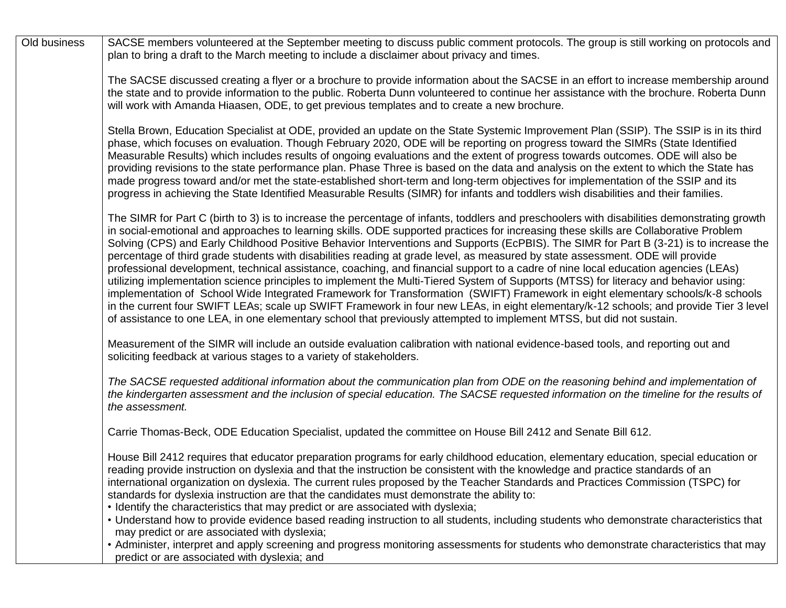| Old business | SACSE members volunteered at the September meeting to discuss public comment protocols. The group is still working on protocols and                                                                                                                                                                                                                                                                                                                                                                                                                                                                                                                                                                                                                                                                                                                                                                                                                                                                                                                                                                                                                                                                                                               |
|--------------|---------------------------------------------------------------------------------------------------------------------------------------------------------------------------------------------------------------------------------------------------------------------------------------------------------------------------------------------------------------------------------------------------------------------------------------------------------------------------------------------------------------------------------------------------------------------------------------------------------------------------------------------------------------------------------------------------------------------------------------------------------------------------------------------------------------------------------------------------------------------------------------------------------------------------------------------------------------------------------------------------------------------------------------------------------------------------------------------------------------------------------------------------------------------------------------------------------------------------------------------------|
|              | plan to bring a draft to the March meeting to include a disclaimer about privacy and times.                                                                                                                                                                                                                                                                                                                                                                                                                                                                                                                                                                                                                                                                                                                                                                                                                                                                                                                                                                                                                                                                                                                                                       |
|              | The SACSE discussed creating a flyer or a brochure to provide information about the SACSE in an effort to increase membership around<br>the state and to provide information to the public. Roberta Dunn volunteered to continue her assistance with the brochure. Roberta Dunn<br>will work with Amanda Hiaasen, ODE, to get previous templates and to create a new brochure.                                                                                                                                                                                                                                                                                                                                                                                                                                                                                                                                                                                                                                                                                                                                                                                                                                                                    |
|              | Stella Brown, Education Specialist at ODE, provided an update on the State Systemic Improvement Plan (SSIP). The SSIP is in its third<br>phase, which focuses on evaluation. Though February 2020, ODE will be reporting on progress toward the SIMRs (State Identified<br>Measurable Results) which includes results of ongoing evaluations and the extent of progress towards outcomes. ODE will also be<br>providing revisions to the state performance plan. Phase Three is based on the data and analysis on the extent to which the State has<br>made progress toward and/or met the state-established short-term and long-term objectives for implementation of the SSIP and its<br>progress in achieving the State Identified Measurable Results (SIMR) for infants and toddlers wish disabilities and their families.                                                                                                                                                                                                                                                                                                                                                                                                                    |
|              | The SIMR for Part C (birth to 3) is to increase the percentage of infants, toddlers and preschoolers with disabilities demonstrating growth<br>in social-emotional and approaches to learning skills. ODE supported practices for increasing these skills are Collaborative Problem<br>Solving (CPS) and Early Childhood Positive Behavior Interventions and Supports (EcPBIS). The SIMR for Part B (3-21) is to increase the<br>percentage of third grade students with disabilities reading at grade level, as measured by state assessment. ODE will provide<br>professional development, technical assistance, coaching, and financial support to a cadre of nine local education agencies (LEAs)<br>utilizing implementation science principles to implement the Multi-Tiered System of Supports (MTSS) for literacy and behavior using:<br>implementation of School Wide Integrated Framework for Transformation (SWIFT) Framework in eight elementary schools/k-8 schools<br>in the current four SWIFT LEAs; scale up SWIFT Framework in four new LEAs, in eight elementary/k-12 schools; and provide Tier 3 level<br>of assistance to one LEA, in one elementary school that previously attempted to implement MTSS, but did not sustain. |
|              | Measurement of the SIMR will include an outside evaluation calibration with national evidence-based tools, and reporting out and<br>soliciting feedback at various stages to a variety of stakeholders.                                                                                                                                                                                                                                                                                                                                                                                                                                                                                                                                                                                                                                                                                                                                                                                                                                                                                                                                                                                                                                           |
|              | The SACSE requested additional information about the communication plan from ODE on the reasoning behind and implementation of<br>the kindergarten assessment and the inclusion of special education. The SACSE requested information on the timeline for the results of<br>the assessment.                                                                                                                                                                                                                                                                                                                                                                                                                                                                                                                                                                                                                                                                                                                                                                                                                                                                                                                                                       |
|              | Carrie Thomas-Beck, ODE Education Specialist, updated the committee on House Bill 2412 and Senate Bill 612.                                                                                                                                                                                                                                                                                                                                                                                                                                                                                                                                                                                                                                                                                                                                                                                                                                                                                                                                                                                                                                                                                                                                       |
|              | House Bill 2412 requires that educator preparation programs for early childhood education, elementary education, special education or<br>reading provide instruction on dyslexia and that the instruction be consistent with the knowledge and practice standards of an<br>international organization on dyslexia. The current rules proposed by the Teacher Standards and Practices Commission (TSPC) for<br>standards for dyslexia instruction are that the candidates must demonstrate the ability to:<br>• Identify the characteristics that may predict or are associated with dyslexia;                                                                                                                                                                                                                                                                                                                                                                                                                                                                                                                                                                                                                                                     |
|              | • Understand how to provide evidence based reading instruction to all students, including students who demonstrate characteristics that<br>may predict or are associated with dyslexia;                                                                                                                                                                                                                                                                                                                                                                                                                                                                                                                                                                                                                                                                                                                                                                                                                                                                                                                                                                                                                                                           |
|              | • Administer, interpret and apply screening and progress monitoring assessments for students who demonstrate characteristics that may<br>predict or are associated with dyslexia; and                                                                                                                                                                                                                                                                                                                                                                                                                                                                                                                                                                                                                                                                                                                                                                                                                                                                                                                                                                                                                                                             |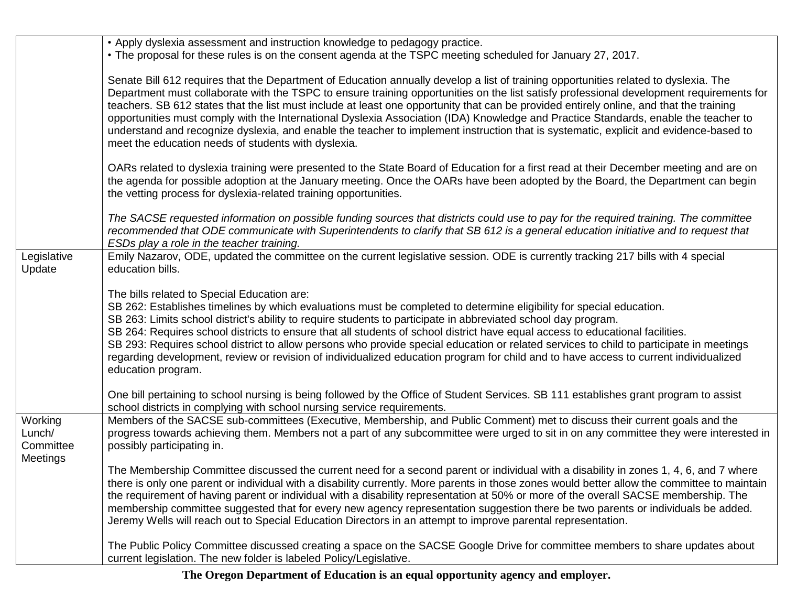|                                            | • Apply dyslexia assessment and instruction knowledge to pedagogy practice.<br>. The proposal for these rules is on the consent agenda at the TSPC meeting scheduled for January 27, 2017.                                                                                                                                                                                                                                                                                                                                                                                                                                                                                                                                                                         |
|--------------------------------------------|--------------------------------------------------------------------------------------------------------------------------------------------------------------------------------------------------------------------------------------------------------------------------------------------------------------------------------------------------------------------------------------------------------------------------------------------------------------------------------------------------------------------------------------------------------------------------------------------------------------------------------------------------------------------------------------------------------------------------------------------------------------------|
|                                            | Senate Bill 612 requires that the Department of Education annually develop a list of training opportunities related to dyslexia. The<br>Department must collaborate with the TSPC to ensure training opportunities on the list satisfy professional development requirements for<br>teachers. SB 612 states that the list must include at least one opportunity that can be provided entirely online, and that the training<br>opportunities must comply with the International Dyslexia Association (IDA) Knowledge and Practice Standards, enable the teacher to<br>understand and recognize dyslexia, and enable the teacher to implement instruction that is systematic, explicit and evidence-based to<br>meet the education needs of students with dyslexia. |
|                                            | OARs related to dyslexia training were presented to the State Board of Education for a first read at their December meeting and are on<br>the agenda for possible adoption at the January meeting. Once the OARs have been adopted by the Board, the Department can begin<br>the vetting process for dyslexia-related training opportunities.                                                                                                                                                                                                                                                                                                                                                                                                                      |
|                                            | The SACSE requested information on possible funding sources that districts could use to pay for the required training. The committee<br>recommended that ODE communicate with Superintendents to clarify that SB 612 is a general education initiative and to request that<br>ESDs play a role in the teacher training.                                                                                                                                                                                                                                                                                                                                                                                                                                            |
| Legislative<br>Update                      | Emily Nazarov, ODE, updated the committee on the current legislative session. ODE is currently tracking 217 bills with 4 special<br>education bills.                                                                                                                                                                                                                                                                                                                                                                                                                                                                                                                                                                                                               |
|                                            | The bills related to Special Education are:<br>SB 262: Establishes timelines by which evaluations must be completed to determine eligibility for special education.<br>SB 263: Limits school district's ability to require students to participate in abbreviated school day program.<br>SB 264: Requires school districts to ensure that all students of school district have equal access to educational facilities.<br>SB 293: Requires school district to allow persons who provide special education or related services to child to participate in meetings<br>regarding development, review or revision of individualized education program for child and to have access to current individualized<br>education program.                                    |
|                                            | One bill pertaining to school nursing is being followed by the Office of Student Services. SB 111 establishes grant program to assist<br>school districts in complying with school nursing service requirements.                                                                                                                                                                                                                                                                                                                                                                                                                                                                                                                                                   |
| Working<br>Lunch/<br>Committee<br>Meetings | Members of the SACSE sub-committees (Executive, Membership, and Public Comment) met to discuss their current goals and the<br>progress towards achieving them. Members not a part of any subcommittee were urged to sit in on any committee they were interested in<br>possibly participating in.                                                                                                                                                                                                                                                                                                                                                                                                                                                                  |
|                                            | The Membership Committee discussed the current need for a second parent or individual with a disability in zones 1, 4, 6, and 7 where<br>there is only one parent or individual with a disability currently. More parents in those zones would better allow the committee to maintain<br>the requirement of having parent or individual with a disability representation at 50% or more of the overall SACSE membership. The<br>membership committee suggested that for every new agency representation suggestion there be two parents or individuals be added.<br>Jeremy Wells will reach out to Special Education Directors in an attempt to improve parental representation.                                                                                   |
|                                            | The Public Policy Committee discussed creating a space on the SACSE Google Drive for committee members to share updates about<br>current legislation. The new folder is labeled Policy/Legislative.                                                                                                                                                                                                                                                                                                                                                                                                                                                                                                                                                                |

**The Oregon Department of Education is an equal opportunity agency and employer.**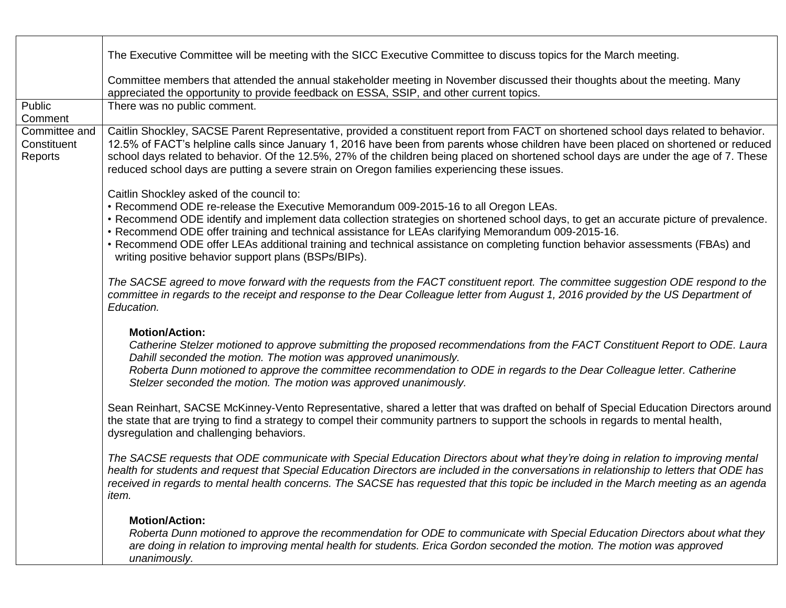|                                         | The Executive Committee will be meeting with the SICC Executive Committee to discuss topics for the March meeting.                                                                                                                                                                                                                                                                                                                                                                                                                                                         |
|-----------------------------------------|----------------------------------------------------------------------------------------------------------------------------------------------------------------------------------------------------------------------------------------------------------------------------------------------------------------------------------------------------------------------------------------------------------------------------------------------------------------------------------------------------------------------------------------------------------------------------|
|                                         | Committee members that attended the annual stakeholder meeting in November discussed their thoughts about the meeting. Many<br>appreciated the opportunity to provide feedback on ESSA, SSIP, and other current topics.                                                                                                                                                                                                                                                                                                                                                    |
| Public<br>Comment                       | There was no public comment.                                                                                                                                                                                                                                                                                                                                                                                                                                                                                                                                               |
| Committee and<br>Constituent<br>Reports | Caitlin Shockley, SACSE Parent Representative, provided a constituent report from FACT on shortened school days related to behavior.<br>12.5% of FACT's helpline calls since January 1, 2016 have been from parents whose children have been placed on shortened or reduced<br>school days related to behavior. Of the 12.5%, 27% of the children being placed on shortened school days are under the age of 7. These<br>reduced school days are putting a severe strain on Oregon families experiencing these issues.                                                     |
|                                         | Caitlin Shockley asked of the council to:<br>• Recommend ODE re-release the Executive Memorandum 009-2015-16 to all Oregon LEAs.<br>• Recommend ODE identify and implement data collection strategies on shortened school days, to get an accurate picture of prevalence.<br>. Recommend ODE offer training and technical assistance for LEAs clarifying Memorandum 009-2015-16.<br>• Recommend ODE offer LEAs additional training and technical assistance on completing function behavior assessments (FBAs) and<br>writing positive behavior support plans (BSPs/BIPs). |
|                                         | The SACSE agreed to move forward with the requests from the FACT constituent report. The committee suggestion ODE respond to the<br>committee in regards to the receipt and response to the Dear Colleague letter from August 1, 2016 provided by the US Department of<br>Education.                                                                                                                                                                                                                                                                                       |
|                                         | <b>Motion/Action:</b><br>Catherine Stelzer motioned to approve submitting the proposed recommendations from the FACT Constituent Report to ODE. Laura<br>Dahill seconded the motion. The motion was approved unanimously.<br>Roberta Dunn motioned to approve the committee recommendation to ODE in regards to the Dear Colleague letter. Catherine<br>Stelzer seconded the motion. The motion was approved unanimously.                                                                                                                                                  |
|                                         | Sean Reinhart, SACSE McKinney-Vento Representative, shared a letter that was drafted on behalf of Special Education Directors around<br>the state that are trying to find a strategy to compel their community partners to support the schools in regards to mental health,<br>dysregulation and challenging behaviors.                                                                                                                                                                                                                                                    |
|                                         | The SACSE requests that ODE communicate with Special Education Directors about what they're doing in relation to improving mental<br>health for students and request that Special Education Directors are included in the conversations in relationship to letters that ODE has<br>received in regards to mental health concerns. The SACSE has requested that this topic be included in the March meeting as an agenda<br>item.                                                                                                                                           |
|                                         | <b>Motion/Action:</b><br>Roberta Dunn motioned to approve the recommendation for ODE to communicate with Special Education Directors about what they<br>are doing in relation to improving mental health for students. Erica Gordon seconded the motion. The motion was approved<br>unanimously.                                                                                                                                                                                                                                                                           |